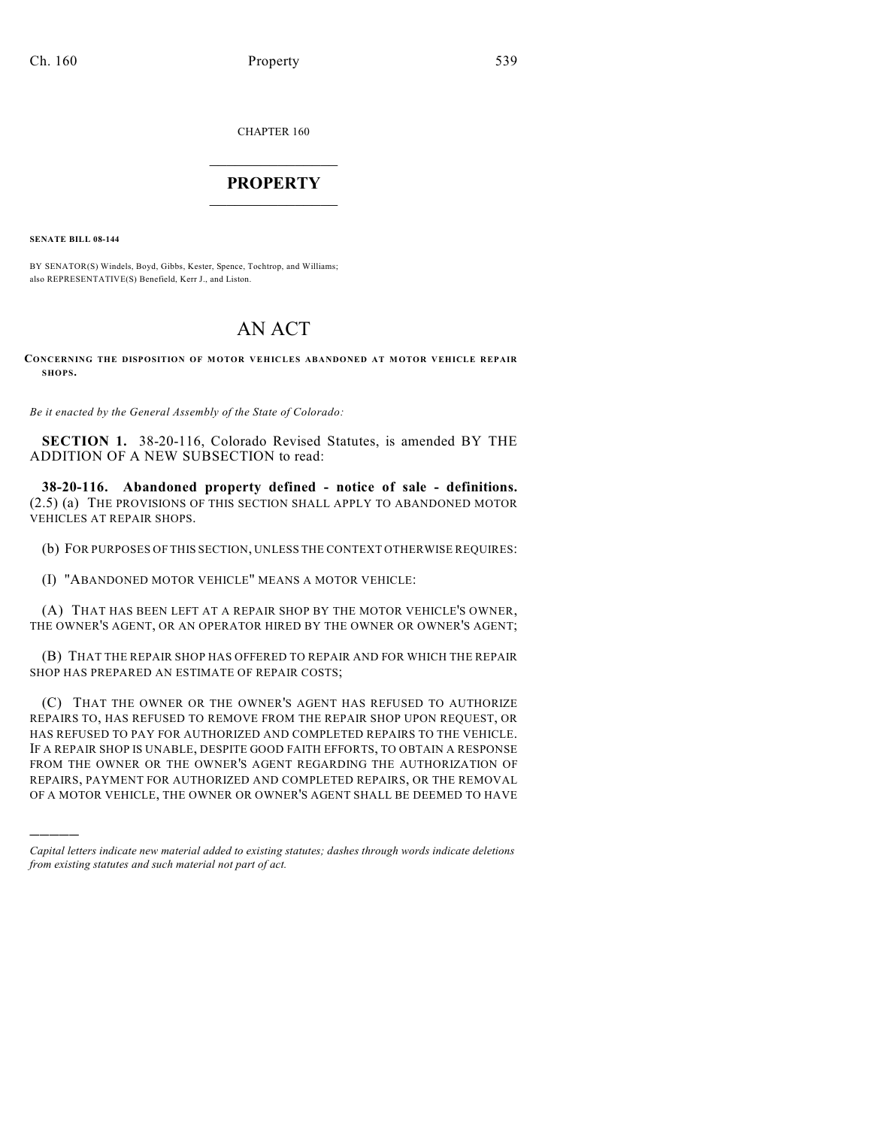CHAPTER 160

# $\overline{\phantom{a}}$  . The set of the set of the set of the set of the set of the set of the set of the set of the set of the set of the set of the set of the set of the set of the set of the set of the set of the set of the set o **PROPERTY**  $\_$   $\_$   $\_$   $\_$   $\_$   $\_$   $\_$   $\_$   $\_$

**SENATE BILL 08-144**

)))))

BY SENATOR(S) Windels, Boyd, Gibbs, Kester, Spence, Tochtrop, and Williams; also REPRESENTATIVE(S) Benefield, Kerr J., and Liston.

# AN ACT

## **CONCERNING THE DISPOSITION OF MOTOR VEHICLES ABANDONED AT MOTOR VEHICLE REPAIR SHOPS.**

*Be it enacted by the General Assembly of the State of Colorado:*

**SECTION 1.** 38-20-116, Colorado Revised Statutes, is amended BY THE ADDITION OF A NEW SUBSECTION to read:

**38-20-116. Abandoned property defined - notice of sale - definitions.** (2.5) (a) THE PROVISIONS OF THIS SECTION SHALL APPLY TO ABANDONED MOTOR VEHICLES AT REPAIR SHOPS.

(b) FOR PURPOSES OF THIS SECTION, UNLESS THE CONTEXT OTHERWISE REQUIRES:

(I) "ABANDONED MOTOR VEHICLE" MEANS A MOTOR VEHICLE:

(A) THAT HAS BEEN LEFT AT A REPAIR SHOP BY THE MOTOR VEHICLE'S OWNER, THE OWNER'S AGENT, OR AN OPERATOR HIRED BY THE OWNER OR OWNER'S AGENT;

(B) THAT THE REPAIR SHOP HAS OFFERED TO REPAIR AND FOR WHICH THE REPAIR SHOP HAS PREPARED AN ESTIMATE OF REPAIR COSTS;

(C) THAT THE OWNER OR THE OWNER'S AGENT HAS REFUSED TO AUTHORIZE REPAIRS TO, HAS REFUSED TO REMOVE FROM THE REPAIR SHOP UPON REQUEST, OR HAS REFUSED TO PAY FOR AUTHORIZED AND COMPLETED REPAIRS TO THE VEHICLE. IF A REPAIR SHOP IS UNABLE, DESPITE GOOD FAITH EFFORTS, TO OBTAIN A RESPONSE FROM THE OWNER OR THE OWNER'S AGENT REGARDING THE AUTHORIZATION OF REPAIRS, PAYMENT FOR AUTHORIZED AND COMPLETED REPAIRS, OR THE REMOVAL OF A MOTOR VEHICLE, THE OWNER OR OWNER'S AGENT SHALL BE DEEMED TO HAVE

*Capital letters indicate new material added to existing statutes; dashes through words indicate deletions from existing statutes and such material not part of act.*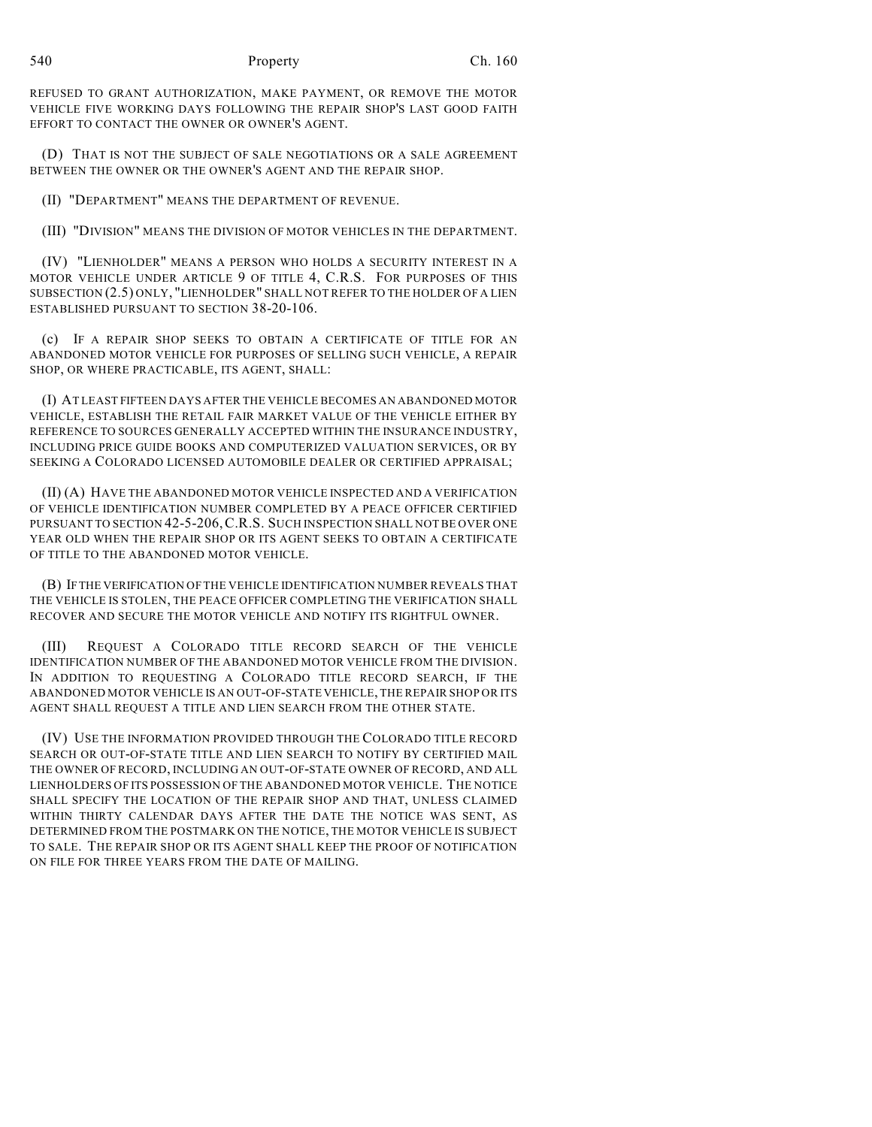540 Ch. 160

REFUSED TO GRANT AUTHORIZATION, MAKE PAYMENT, OR REMOVE THE MOTOR VEHICLE FIVE WORKING DAYS FOLLOWING THE REPAIR SHOP'S LAST GOOD FAITH EFFORT TO CONTACT THE OWNER OR OWNER'S AGENT.

(D) THAT IS NOT THE SUBJECT OF SALE NEGOTIATIONS OR A SALE AGREEMENT BETWEEN THE OWNER OR THE OWNER'S AGENT AND THE REPAIR SHOP.

(II) "DEPARTMENT" MEANS THE DEPARTMENT OF REVENUE.

(III) "DIVISION" MEANS THE DIVISION OF MOTOR VEHICLES IN THE DEPARTMENT.

(IV) "LIENHOLDER" MEANS A PERSON WHO HOLDS A SECURITY INTEREST IN A MOTOR VEHICLE UNDER ARTICLE 9 OF TITLE 4, C.R.S. FOR PURPOSES OF THIS SUBSECTION (2.5) ONLY, "LIENHOLDER" SHALL NOT REFER TO THE HOLDER OF A LIEN ESTABLISHED PURSUANT TO SECTION 38-20-106.

(c) IF A REPAIR SHOP SEEKS TO OBTAIN A CERTIFICATE OF TITLE FOR AN ABANDONED MOTOR VEHICLE FOR PURPOSES OF SELLING SUCH VEHICLE, A REPAIR SHOP, OR WHERE PRACTICABLE, ITS AGENT, SHALL:

(I) AT LEAST FIFTEEN DAYS AFTER THE VEHICLE BECOMES AN ABANDONED MOTOR VEHICLE, ESTABLISH THE RETAIL FAIR MARKET VALUE OF THE VEHICLE EITHER BY REFERENCE TO SOURCES GENERALLY ACCEPTED WITHIN THE INSURANCE INDUSTRY, INCLUDING PRICE GUIDE BOOKS AND COMPUTERIZED VALUATION SERVICES, OR BY SEEKING A COLORADO LICENSED AUTOMOBILE DEALER OR CERTIFIED APPRAISAL;

(II) (A) HAVE THE ABANDONED MOTOR VEHICLE INSPECTED AND A VERIFICATION OF VEHICLE IDENTIFICATION NUMBER COMPLETED BY A PEACE OFFICER CERTIFIED PURSUANT TO SECTION 42-5-206, C.R.S. SUCH INSPECTION SHALL NOT BE OVER ONE YEAR OLD WHEN THE REPAIR SHOP OR ITS AGENT SEEKS TO OBTAIN A CERTIFICATE OF TITLE TO THE ABANDONED MOTOR VEHICLE.

(B) IF THE VERIFICATION OF THE VEHICLE IDENTIFICATION NUMBER REVEALS THAT THE VEHICLE IS STOLEN, THE PEACE OFFICER COMPLETING THE VERIFICATION SHALL RECOVER AND SECURE THE MOTOR VEHICLE AND NOTIFY ITS RIGHTFUL OWNER.

(III) REQUEST A COLORADO TITLE RECORD SEARCH OF THE VEHICLE IDENTIFICATION NUMBER OF THE ABANDONED MOTOR VEHICLE FROM THE DIVISION. IN ADDITION TO REQUESTING A COLORADO TITLE RECORD SEARCH, IF THE ABANDONED MOTOR VEHICLE IS AN OUT-OF-STATE VEHICLE, THE REPAIR SHOP OR ITS AGENT SHALL REQUEST A TITLE AND LIEN SEARCH FROM THE OTHER STATE.

(IV) USE THE INFORMATION PROVIDED THROUGH THE COLORADO TITLE RECORD SEARCH OR OUT-OF-STATE TITLE AND LIEN SEARCH TO NOTIFY BY CERTIFIED MAIL THE OWNER OF RECORD, INCLUDING AN OUT-OF-STATE OWNER OF RECORD, AND ALL LIENHOLDERS OF ITS POSSESSION OF THE ABANDONED MOTOR VEHICLE. THE NOTICE SHALL SPECIFY THE LOCATION OF THE REPAIR SHOP AND THAT, UNLESS CLAIMED WITHIN THIRTY CALENDAR DAYS AFTER THE DATE THE NOTICE WAS SENT, AS DETERMINED FROM THE POSTMARK ON THE NOTICE, THE MOTOR VEHICLE IS SUBJECT TO SALE. THE REPAIR SHOP OR ITS AGENT SHALL KEEP THE PROOF OF NOTIFICATION ON FILE FOR THREE YEARS FROM THE DATE OF MAILING.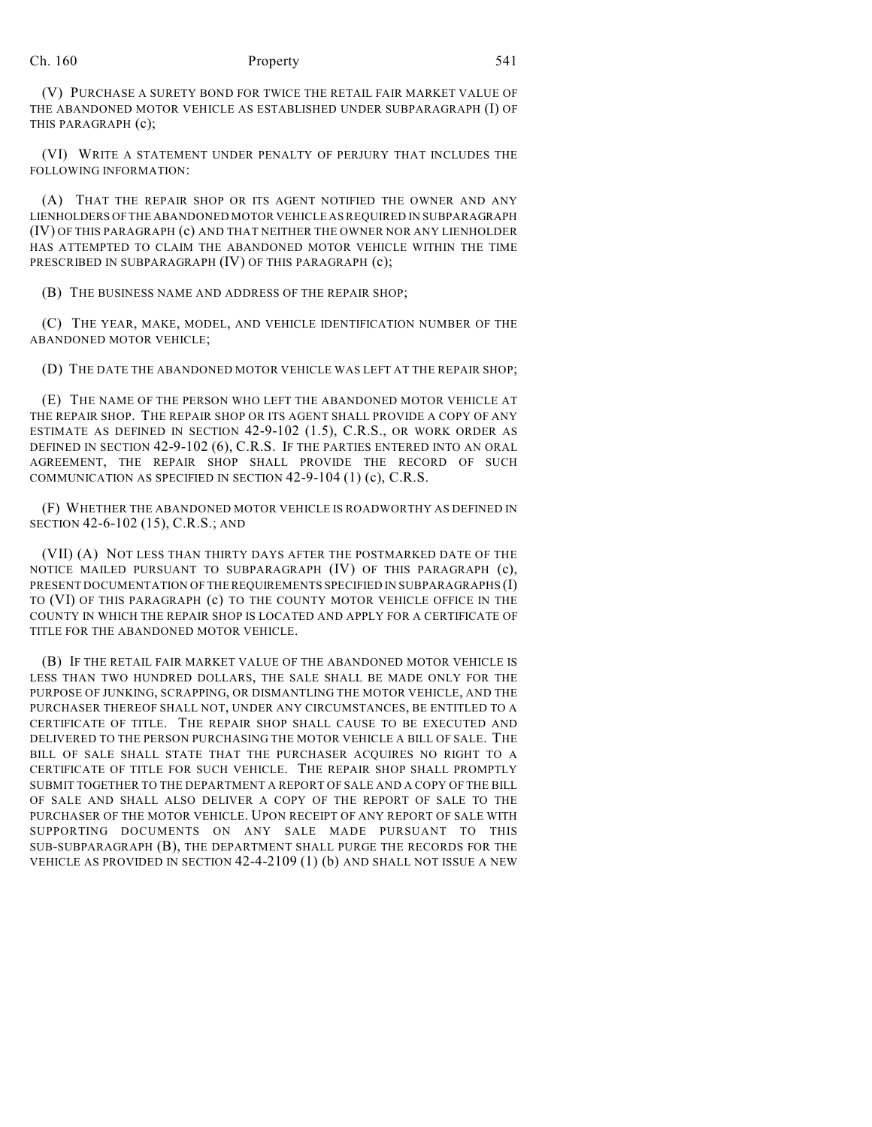(V) PURCHASE A SURETY BOND FOR TWICE THE RETAIL FAIR MARKET VALUE OF THE ABANDONED MOTOR VEHICLE AS ESTABLISHED UNDER SUBPARAGRAPH (I) OF THIS PARAGRAPH (c);

(VI) WRITE A STATEMENT UNDER PENALTY OF PERJURY THAT INCLUDES THE FOLLOWING INFORMATION:

(A) THAT THE REPAIR SHOP OR ITS AGENT NOTIFIED THE OWNER AND ANY LIENHOLDERS OF THE ABANDONED MOTOR VEHICLE AS REQUIRED IN SUBPARAGRAPH (IV) OF THIS PARAGRAPH (c) AND THAT NEITHER THE OWNER NOR ANY LIENHOLDER HAS ATTEMPTED TO CLAIM THE ABANDONED MOTOR VEHICLE WITHIN THE TIME PRESCRIBED IN SUBPARAGRAPH (IV) OF THIS PARAGRAPH (c);

(B) THE BUSINESS NAME AND ADDRESS OF THE REPAIR SHOP;

(C) THE YEAR, MAKE, MODEL, AND VEHICLE IDENTIFICATION NUMBER OF THE ABANDONED MOTOR VEHICLE;

(D) THE DATE THE ABANDONED MOTOR VEHICLE WAS LEFT AT THE REPAIR SHOP;

(E) THE NAME OF THE PERSON WHO LEFT THE ABANDONED MOTOR VEHICLE AT THE REPAIR SHOP. THE REPAIR SHOP OR ITS AGENT SHALL PROVIDE A COPY OF ANY ESTIMATE AS DEFINED IN SECTION 42-9-102 (1.5), C.R.S., OR WORK ORDER AS DEFINED IN SECTION 42-9-102 (6), C.R.S. IF THE PARTIES ENTERED INTO AN ORAL AGREEMENT, THE REPAIR SHOP SHALL PROVIDE THE RECORD OF SUCH COMMUNICATION AS SPECIFIED IN SECTION 42-9-104 (1) (c), C.R.S.

(F) WHETHER THE ABANDONED MOTOR VEHICLE IS ROADWORTHY AS DEFINED IN SECTION 42-6-102 (15), C.R.S.; AND

(VII) (A) NOT LESS THAN THIRTY DAYS AFTER THE POSTMARKED DATE OF THE NOTICE MAILED PURSUANT TO SUBPARAGRAPH (IV) OF THIS PARAGRAPH (c), PRESENT DOCUMENTATION OF THE REQUIREMENTS SPECIFIED IN SUBPARAGRAPHS (I) TO (VI) OF THIS PARAGRAPH (c) TO THE COUNTY MOTOR VEHICLE OFFICE IN THE COUNTY IN WHICH THE REPAIR SHOP IS LOCATED AND APPLY FOR A CERTIFICATE OF TITLE FOR THE ABANDONED MOTOR VEHICLE.

(B) IF THE RETAIL FAIR MARKET VALUE OF THE ABANDONED MOTOR VEHICLE IS LESS THAN TWO HUNDRED DOLLARS, THE SALE SHALL BE MADE ONLY FOR THE PURPOSE OF JUNKING, SCRAPPING, OR DISMANTLING THE MOTOR VEHICLE, AND THE PURCHASER THEREOF SHALL NOT, UNDER ANY CIRCUMSTANCES, BE ENTITLED TO A CERTIFICATE OF TITLE. THE REPAIR SHOP SHALL CAUSE TO BE EXECUTED AND DELIVERED TO THE PERSON PURCHASING THE MOTOR VEHICLE A BILL OF SALE. THE BILL OF SALE SHALL STATE THAT THE PURCHASER ACQUIRES NO RIGHT TO A CERTIFICATE OF TITLE FOR SUCH VEHICLE. THE REPAIR SHOP SHALL PROMPTLY SUBMIT TOGETHER TO THE DEPARTMENT A REPORT OF SALE AND A COPY OF THE BILL OF SALE AND SHALL ALSO DELIVER A COPY OF THE REPORT OF SALE TO THE PURCHASER OF THE MOTOR VEHICLE. UPON RECEIPT OF ANY REPORT OF SALE WITH SUPPORTING DOCUMENTS ON ANY SALE MADE PURSUANT TO THIS SUB-SUBPARAGRAPH (B), THE DEPARTMENT SHALL PURGE THE RECORDS FOR THE VEHICLE AS PROVIDED IN SECTION 42-4-2109 (1) (b) AND SHALL NOT ISSUE A NEW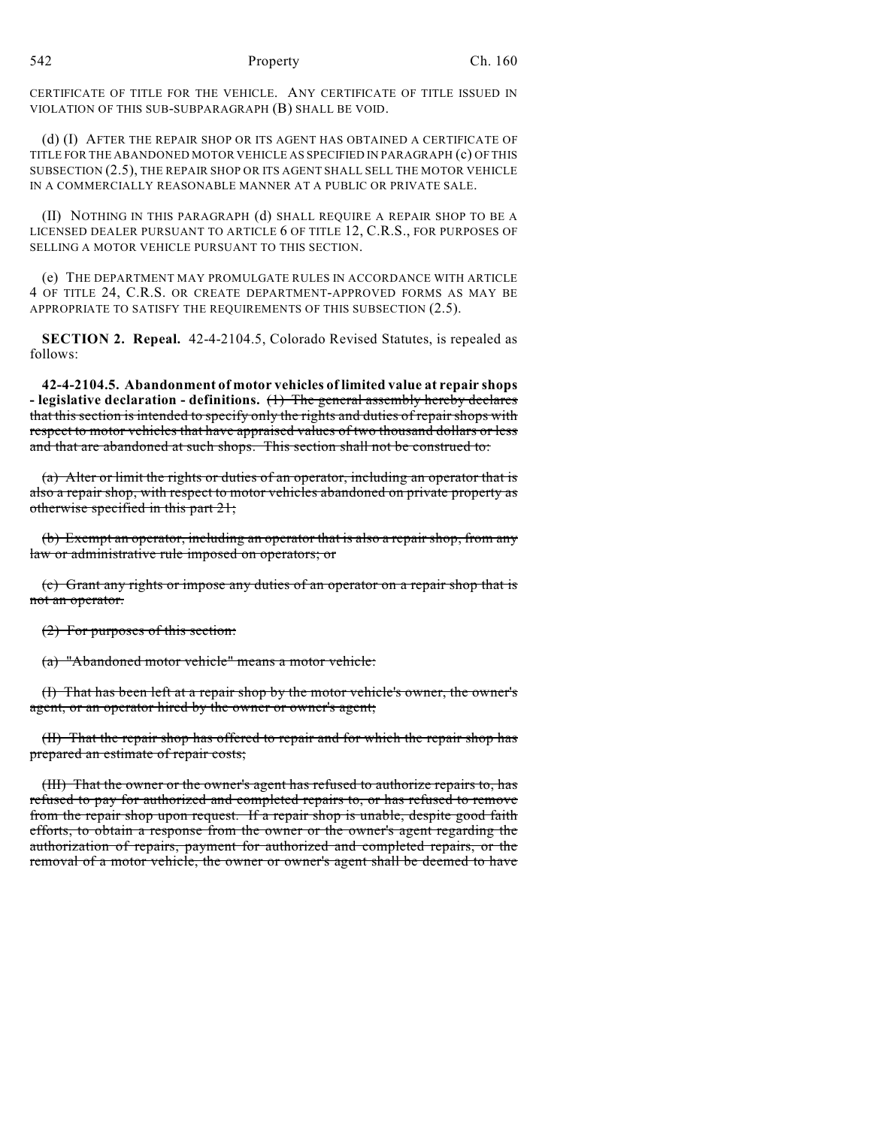## 542 Ch. 160

CERTIFICATE OF TITLE FOR THE VEHICLE. ANY CERTIFICATE OF TITLE ISSUED IN VIOLATION OF THIS SUB-SUBPARAGRAPH (B) SHALL BE VOID.

(d) (I) AFTER THE REPAIR SHOP OR ITS AGENT HAS OBTAINED A CERTIFICATE OF TITLE FOR THE ABANDONED MOTOR VEHICLE AS SPECIFIED IN PARAGRAPH (c) OF THIS SUBSECTION (2.5), THE REPAIR SHOP OR ITS AGENT SHALL SELL THE MOTOR VEHICLE IN A COMMERCIALLY REASONABLE MANNER AT A PUBLIC OR PRIVATE SALE.

(II) NOTHING IN THIS PARAGRAPH (d) SHALL REQUIRE A REPAIR SHOP TO BE A LICENSED DEALER PURSUANT TO ARTICLE 6 OF TITLE 12, C.R.S., FOR PURPOSES OF SELLING A MOTOR VEHICLE PURSUANT TO THIS SECTION.

(e) THE DEPARTMENT MAY PROMULGATE RULES IN ACCORDANCE WITH ARTICLE 4 OF TITLE 24, C.R.S. OR CREATE DEPARTMENT-APPROVED FORMS AS MAY BE APPROPRIATE TO SATISFY THE REQUIREMENTS OF THIS SUBSECTION (2.5).

**SECTION 2. Repeal.** 42-4-2104.5, Colorado Revised Statutes, is repealed as follows:

**42-4-2104.5. Abandonment of motor vehicles of limited value at repair shops - legislative declaration - definitions.** (1) The general assembly hereby declares that this section is intended to specify only the rights and duties of repair shops with respect to motor vehicles that have appraised values of two thousand dollars or less and that are abandoned at such shops. This section shall not be construed to:

(a) Alter or limit the rights or duties of an operator, including an operator that is also a repair shop, with respect to motor vehicles abandoned on private property as otherwise specified in this part 21;

(b) Exempt an operator, including an operator that is also a repair shop, from any law or administrative rule imposed on operators; or

(c) Grant any rights or impose any duties of an operator on a repair shop that is not an operator.

(2) For purposes of this section:

(a) "Abandoned motor vehicle" means a motor vehicle:

(I) That has been left at a repair shop by the motor vehicle's owner, the owner's agent, or an operator hired by the owner or owner's agent;

(II) That the repair shop has offered to repair and for which the repair shop has prepared an estimate of repair costs;

(III) That the owner or the owner's agent has refused to authorize repairs to, has refused to pay for authorized and completed repairs to, or has refused to remove from the repair shop upon request. If a repair shop is unable, despite good faith efforts, to obtain a response from the owner or the owner's agent regarding the authorization of repairs, payment for authorized and completed repairs, or the removal of a motor vehicle, the owner or owner's agent shall be deemed to have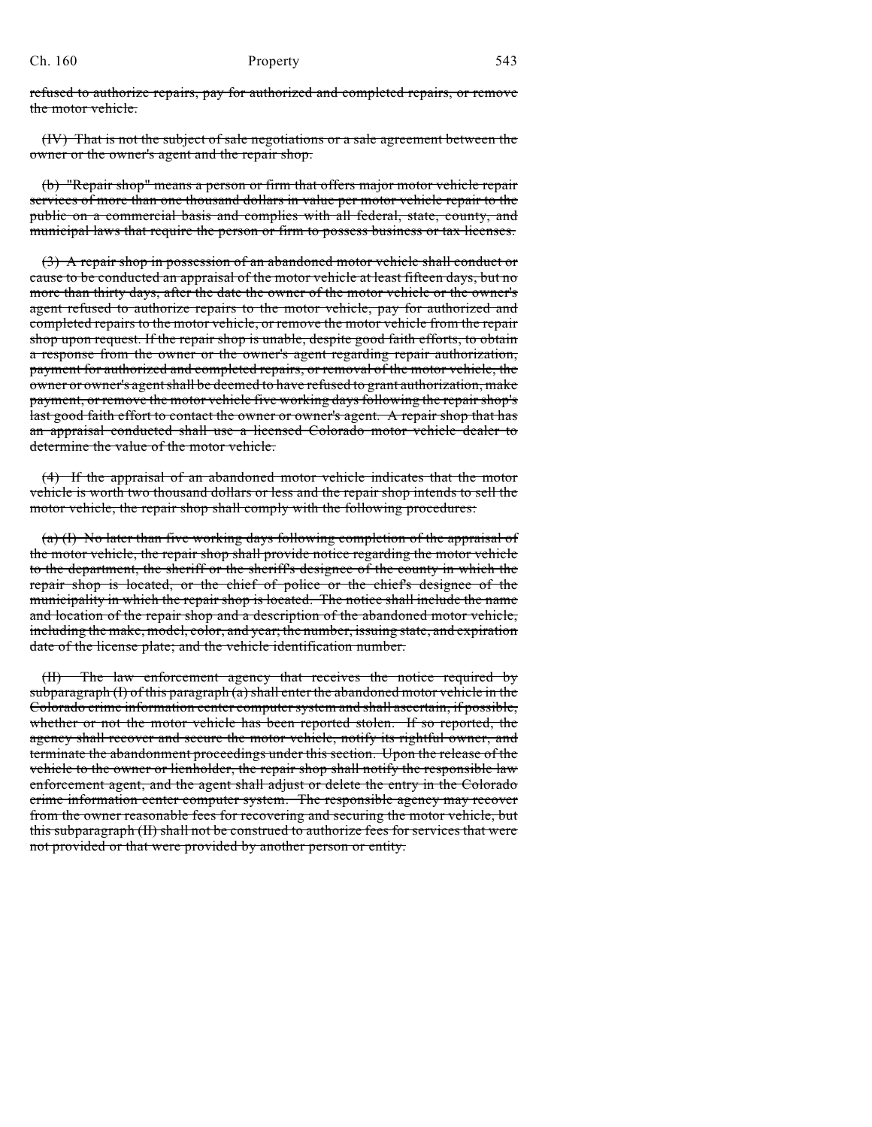refused to authorize repairs, pay for authorized and completed repairs, or remove the motor vehicle.

(IV) That is not the subject of sale negotiations or a sale agreement between the owner or the owner's agent and the repair shop.

(b) "Repair shop" means a person or firm that offers major motor vehicle repair services of more than one thousand dollars in value per motor vehicle repair to the public on a commercial basis and complies with all federal, state, county, and municipal laws that require the person or firm to possess business or tax licenses.

(3) A repair shop in possession of an abandoned motor vehicle shall conduct or cause to be conducted an appraisal of the motor vehicle at least fifteen days, but no more than thirty days, after the date the owner of the motor vehicle or the owner's agent refused to authorize repairs to the motor vehicle, pay for authorized and completed repairs to the motor vehicle, or remove the motor vehicle from the repair shop upon request. If the repair shop is unable, despite good faith efforts, to obtain a response from the owner or the owner's agent regarding repair authorization, payment for authorized and completed repairs, or removal of the motor vehicle, the owner or owner's agent shall be deemed to have refused to grant authorization, make payment, or remove the motor vehicle five working days following the repair shop's last good faith effort to contact the owner or owner's agent. A repair shop that has an appraisal conducted shall use a licensed Colorado motor vehicle dealer to determine the value of the motor vehicle.

(4) If the appraisal of an abandoned motor vehicle indicates that the motor vehicle is worth two thousand dollars or less and the repair shop intends to sell the motor vehicle, the repair shop shall comply with the following procedures:

(a) (I) No later than five working days following completion of the appraisal of the motor vehicle, the repair shop shall provide notice regarding the motor vehicle to the department, the sheriff or the sheriff's designee of the county in which the repair shop is located, or the chief of police or the chief's designee of the municipality in which the repair shop is located. The notice shall include the name and location of the repair shop and a description of the abandoned motor vehicle, including the make, model, color, and year; the number, issuing state, and expiration date of the license plate; and the vehicle identification number.

(II) The law enforcement agency that receives the notice required by subparagraph  $(I)$  of this paragraph  $(a)$  shall enter the abandoned motor vehicle in the Colorado crime information center computer system and shall ascertain, if possible, whether or not the motor vehicle has been reported stolen. If so reported, the agency shall recover and secure the motor vehicle, notify its rightful owner, and terminate the abandonment proceedings under this section. Upon the release of the vehicle to the owner or lienholder, the repair shop shall notify the responsible law enforcement agent, and the agent shall adjust or delete the entry in the Colorado crime information center computer system. The responsible agency may recover from the owner reasonable fees for recovering and securing the motor vehicle, but this subparagraph (II) shall not be construed to authorize fees for services that were not provided or that were provided by another person or entity.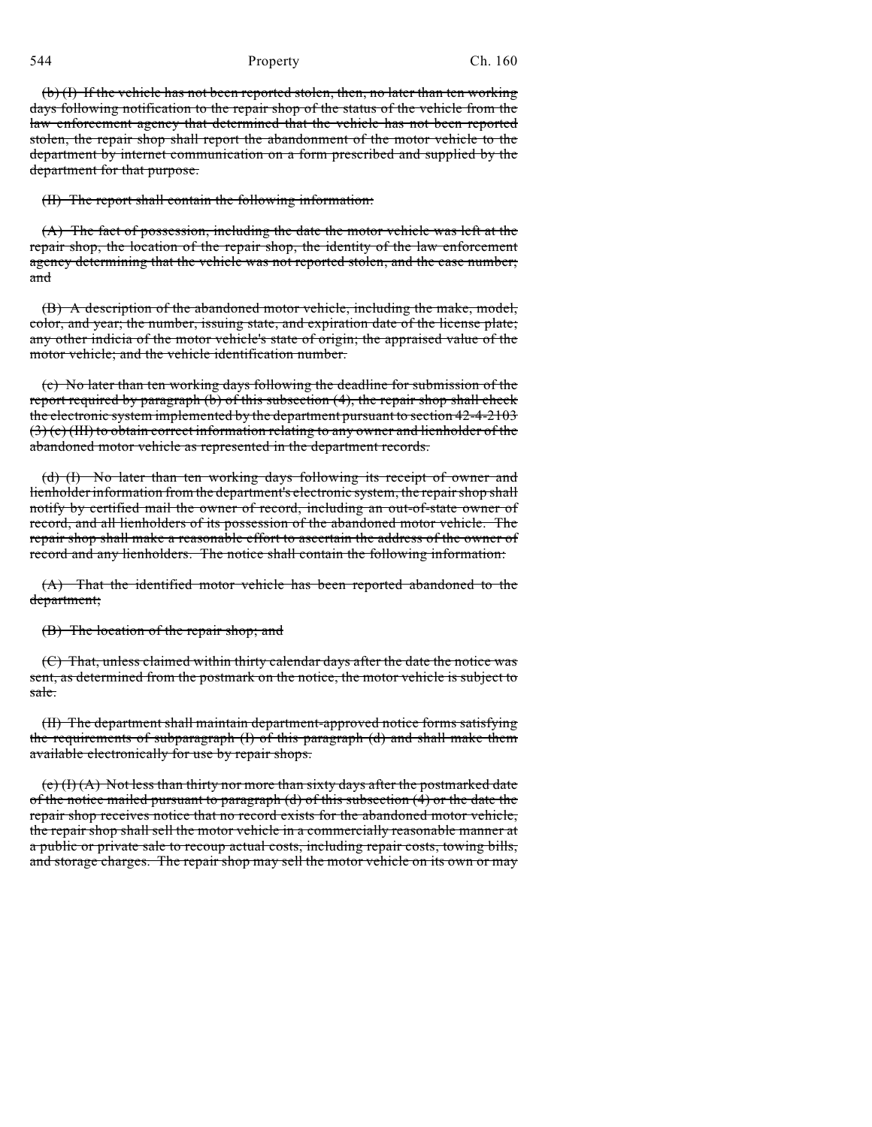544 Ch. 160

(b) (I) If the vehicle has not been reported stolen, then, no later than ten working days following notification to the repair shop of the status of the vehicle from the law enforcement agency that determined that the vehicle has not been reported stolen, the repair shop shall report the abandonment of the motor vehicle to the department by internet communication on a form prescribed and supplied by the department for that purpose.

(II) The report shall contain the following information:

(A) The fact of possession, including the date the motor vehicle was left at the repair shop, the location of the repair shop, the identity of the law enforcement agency determining that the vehicle was not reported stolen, and the case number; and

(B) A description of the abandoned motor vehicle, including the make, model, color, and year; the number, issuing state, and expiration date of the license plate; any other indicia of the motor vehicle's state of origin; the appraised value of the motor vehicle; and the vehicle identification number.

(c) No later than ten working days following the deadline for submission of the report required by paragraph (b) of this subsection (4), the repair shop shall check the electronic system implemented by the department pursuant to section 42-4-2103  $(3)$  (c) (III) to obtain correct information relating to any owner and lienholder of the abandoned motor vehicle as represented in the department records.

(d) (I) No later than ten working days following its receipt of owner and lienholder information from the department's electronic system, the repair shop shall notify by certified mail the owner of record, including an out-of-state owner of record, and all lienholders of its possession of the abandoned motor vehicle. The repair shop shall make a reasonable effort to ascertain the address of the owner of record and any lienholders. The notice shall contain the following information:

(A) That the identified motor vehicle has been reported abandoned to the department;

(B) The location of the repair shop; and

(C) That, unless claimed within thirty calendar days after the date the notice was sent, as determined from the postmark on the notice, the motor vehicle is subject to sale.

(II) The department shall maintain department-approved notice forms satisfying the requirements of subparagraph (I) of this paragraph (d) and shall make them available electronically for use by repair shops.

 $(e)$  (I)  $(A)$  Not less than thirty nor more than sixty days after the postmarked date of the notice mailed pursuant to paragraph (d) of this subsection (4) or the date the repair shop receives notice that no record exists for the abandoned motor vehicle, the repair shop shall sell the motor vehicle in a commercially reasonable manner at a public or private sale to recoup actual costs, including repair costs, towing bills, and storage charges. The repair shop may sell the motor vehicle on its own or may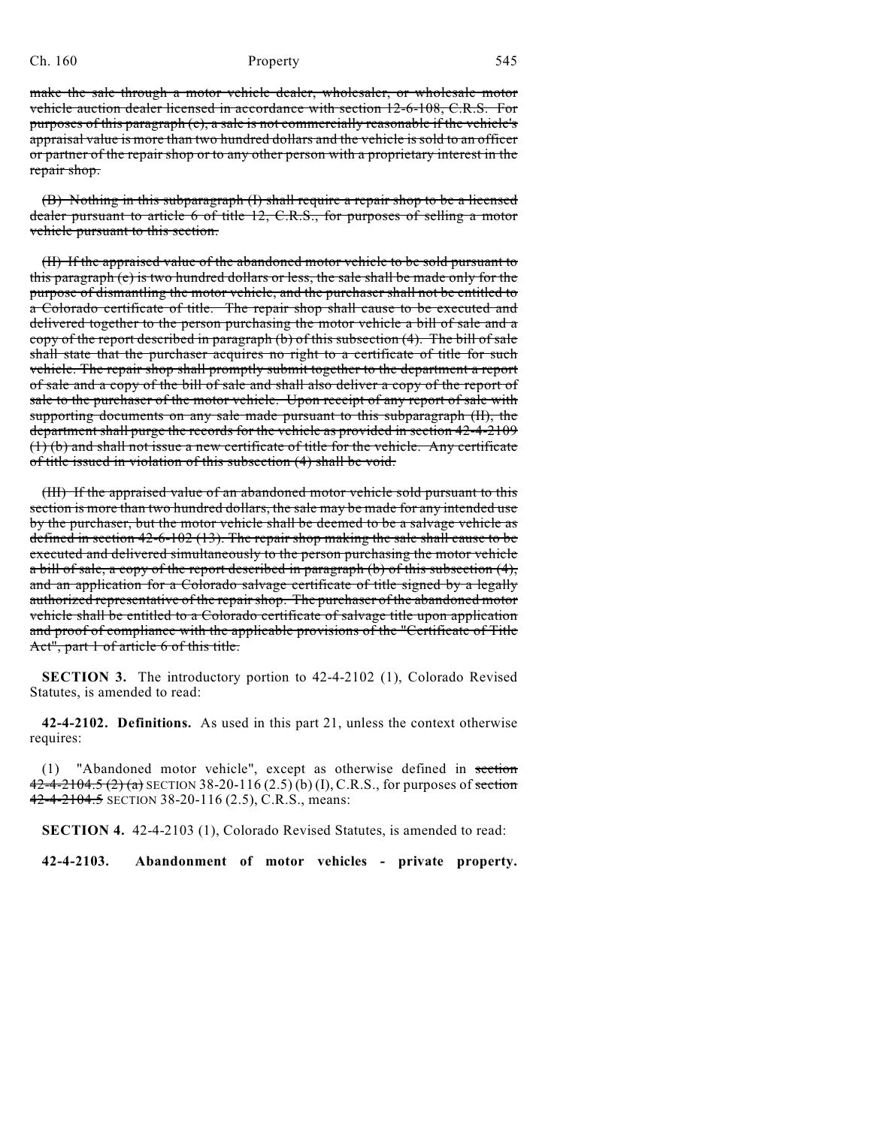## Ch. 160 **Property** 545

make the sale through a motor vehicle dealer, wholesaler, or wholesale motor vehicle auction dealer licensed in accordance with section 12-6-108, C.R.S. For purposes of this paragraph (e), a sale is not commercially reasonable if the vehicle's appraisal value is more than two hundred dollars and the vehicle is sold to an officer or partner of the repair shop or to any other person with a proprietary interest in the repair shop.

(B) Nothing in this subparagraph (I) shall require a repair shop to be a licensed dealer pursuant to article 6 of title 12, C.R.S., for purposes of selling a motor vehicle pursuant to this section.

(II) If the appraised value of the abandoned motor vehicle to be sold pursuant to this paragraph (e) is two hundred dollars or less, the sale shall be made only for the purpose of dismantling the motor vehicle, and the purchaser shall not be entitled to a Colorado certificate of title. The repair shop shall cause to be executed and delivered together to the person purchasing the motor vehicle a bill of sale and a copy of the report described in paragraph (b) of this subsection (4). The bill of sale shall state that the purchaser acquires no right to a certificate of title for such vehicle. The repair shop shall promptly submit together to the department a report of sale and a copy of the bill of sale and shall also deliver a copy of the report of sale to the purchaser of the motor vehicle. Upon receipt of any report of sale with supporting documents on any sale made pursuant to this subparagraph (II), the department shall purge the records for the vehicle as provided in section 42-4-2109 (1) (b) and shall not issue a new certificate of title for the vehicle. Any certificate of title issued in violation of this subsection (4) shall be void.

(III) If the appraised value of an abandoned motor vehicle sold pursuant to this section is more than two hundred dollars, the sale may be made for any intended use by the purchaser, but the motor vehicle shall be deemed to be a salvage vehicle as defined in section 42-6-102 (13). The repair shop making the sale shall cause to be executed and delivered simultaneously to the person purchasing the motor vehicle a bill of sale, a copy of the report described in paragraph (b) of this subsection (4), and an application for a Colorado salvage certificate of title signed by a legally authorized representative of the repair shop. The purchaser of the abandoned motor vehicle shall be entitled to a Colorado certificate of salvage title upon application and proof of compliance with the applicable provisions of the "Certificate of Title Act", part 1 of article 6 of this title.

**SECTION 3.** The introductory portion to 42-4-2102 (1), Colorado Revised Statutes, is amended to read:

**42-4-2102. Definitions.** As used in this part 21, unless the context otherwise requires:

(1) "Abandoned motor vehicle", except as otherwise defined in section  $42-4-2104.5$  (2) (a) SECTION 38-20-116 (2.5) (b) (I), C.R.S., for purposes of section 42-4-2104.5 SECTION 38-20-116 (2.5), C.R.S., means:

**SECTION 4.** 42-4-2103 (1), Colorado Revised Statutes, is amended to read:

**42-4-2103. Abandonment of motor vehicles - private property.**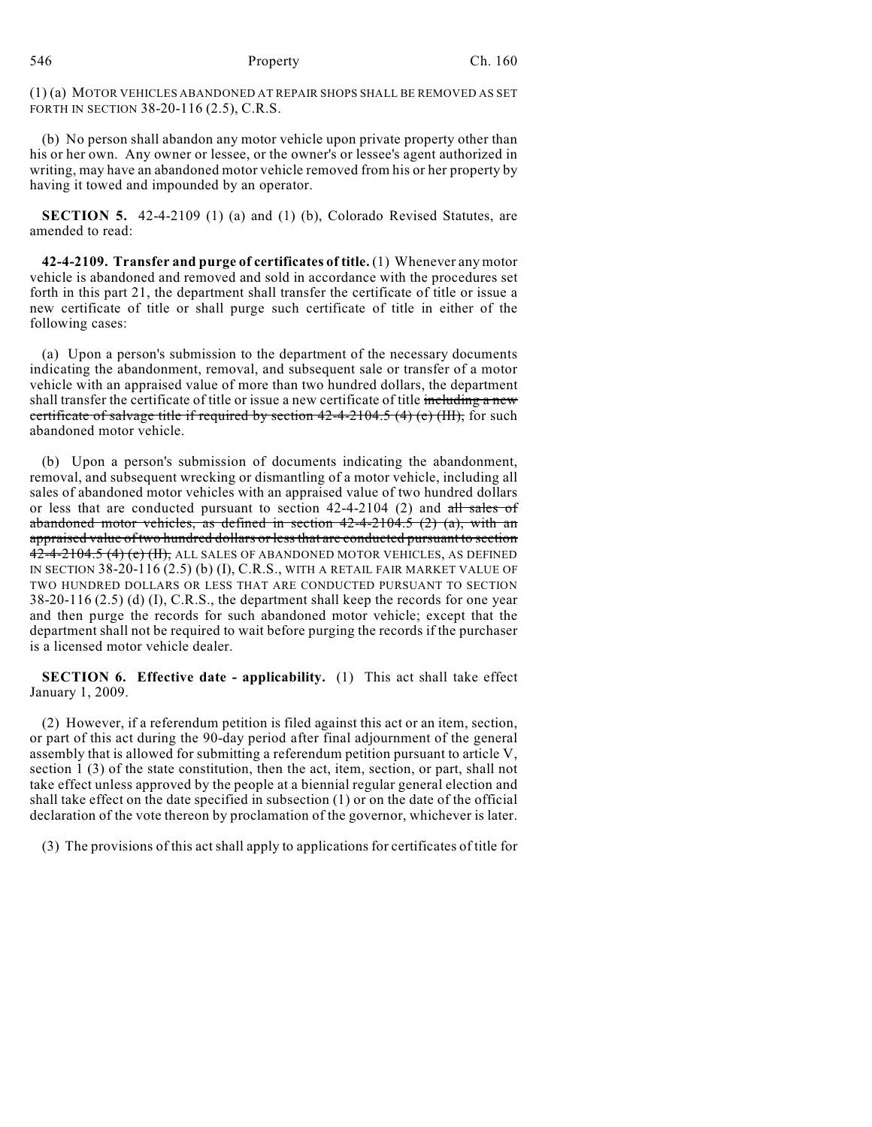546 **Property** Ch. 160

(1) (a) MOTOR VEHICLES ABANDONED AT REPAIR SHOPS SHALL BE REMOVED AS SET FORTH IN SECTION 38-20-116 (2.5), C.R.S.

(b) No person shall abandon any motor vehicle upon private property other than his or her own. Any owner or lessee, or the owner's or lessee's agent authorized in writing, may have an abandoned motor vehicle removed from his or her property by having it towed and impounded by an operator.

**SECTION 5.** 42-4-2109 (1) (a) and (1) (b), Colorado Revised Statutes, are amended to read:

**42-4-2109. Transfer and purge of certificates of title.** (1) Whenever any motor vehicle is abandoned and removed and sold in accordance with the procedures set forth in this part 21, the department shall transfer the certificate of title or issue a new certificate of title or shall purge such certificate of title in either of the following cases:

(a) Upon a person's submission to the department of the necessary documents indicating the abandonment, removal, and subsequent sale or transfer of a motor vehicle with an appraised value of more than two hundred dollars, the department shall transfer the certificate of title or issue a new certificate of title including a new certificate of salvage title if required by section  $42-4-2104.5$  (4) (e) (III), for such abandoned motor vehicle.

(b) Upon a person's submission of documents indicating the abandonment, removal, and subsequent wrecking or dismantling of a motor vehicle, including all sales of abandoned motor vehicles with an appraised value of two hundred dollars or less that are conducted pursuant to section  $42-4-2104$  (2) and  $\frac{1}{18}$  sales of abandoned motor vehicles, as defined in section  $42-4-2104.5$  (2) (a), with an appraised value of two hundred dollars or less that are conducted pursuant to section 42-4-2104.5 (4) (e) (II), ALL SALES OF ABANDONED MOTOR VEHICLES, AS DEFINED IN SECTION 38-20-116 (2.5) (b) (I), C.R.S., WITH A RETAIL FAIR MARKET VALUE OF TWO HUNDRED DOLLARS OR LESS THAT ARE CONDUCTED PURSUANT TO SECTION 38-20-116 (2.5) (d) (I), C.R.S., the department shall keep the records for one year and then purge the records for such abandoned motor vehicle; except that the department shall not be required to wait before purging the records if the purchaser is a licensed motor vehicle dealer.

**SECTION 6. Effective date - applicability.** (1) This act shall take effect January 1, 2009.

(2) However, if a referendum petition is filed against this act or an item, section, or part of this act during the 90-day period after final adjournment of the general assembly that is allowed for submitting a referendum petition pursuant to article V, section 1 (3) of the state constitution, then the act, item, section, or part, shall not take effect unless approved by the people at a biennial regular general election and shall take effect on the date specified in subsection (1) or on the date of the official declaration of the vote thereon by proclamation of the governor, whichever is later.

(3) The provisions of this act shall apply to applications for certificates of title for